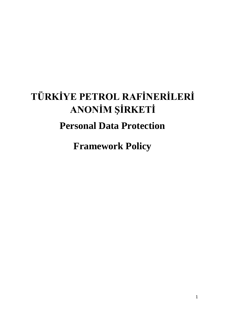# **TÜRKİYE PETROL RAFİNERİLERİ ANONİM ŞİRKETİ Personal Data Protection**

**Framework Policy**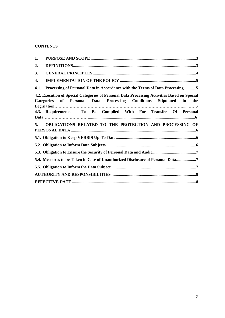## **CONTENTS**

| 1.   |                                                                                                                                                                     |
|------|---------------------------------------------------------------------------------------------------------------------------------------------------------------------|
| 2.   |                                                                                                                                                                     |
| 3.   |                                                                                                                                                                     |
| 4.   |                                                                                                                                                                     |
| 4.1. | Processing of Personal Data in Accordance with the Terms of Data Processing 5                                                                                       |
|      | 4.2. Execution of Special Categories of Personal Data Processing Activities Based on Special<br>Categories of Personal Data Processing Conditions Stipulated in the |
|      | 4.3. Requirements To Be Complied With For Transfer Of Personal                                                                                                      |
| 5.   | OBLIGATIONS RELATED TO THE PROTECTION AND PROCESSING OF                                                                                                             |
|      |                                                                                                                                                                     |
|      |                                                                                                                                                                     |
|      |                                                                                                                                                                     |
|      | 5.4. Measures to be Taken in Case of Unauthorized Disclosure of Personal Data7                                                                                      |
|      |                                                                                                                                                                     |
|      |                                                                                                                                                                     |
|      |                                                                                                                                                                     |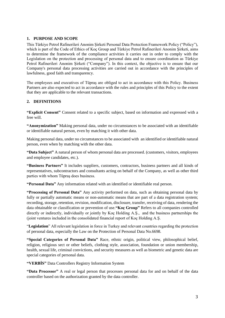## **1. PURPOSE AND SCOPE**

This Türkiye Petrol Rafinerileri Anonim Şirketi Personal Data Protection Framework Policy ("Policy"), which is part of the Code of Ethics of Koç Group and Türkiye Petrol Rafinerileri Anonim Şirketi, aims to determine the framework of the compliance activities it carries out in order to comply with the Legislation on the protection and processing of personal data and to ensure coordination as Türkiye Petrol Rafinerileri Anonim Şirketi ("Company"). In this context, the objective is to ensure that our Company's personal data processing activities are carried out in accordance with the principles of lawfulness, good faith and transparency.

The employees and executives of Tüpraş are obliged to act in accordance with this Policy. Business Partners are also expected to act in accordance with the rules and principles of this Policy to the extent that they are applicable to the relevant transactions.

## **2. DEFINITIONS**

**"Explicit Consent"** Consent related to a specific subject, based on information and expressed with a free will.

**"Anonymization"** Making personal data, under no circumstances to be associated with an identifiable or identifiable natural person, even by matching it with other data.

Making personal data, under no circumstances to be associated with an identified or identifiable natural person, even when by matching with the other data.

**"Data Subject"** A natural person of whom personal data are processed. (customers, visitors, employees and employee candidates, etc.).

**"Business Partners"** It includes suppliers, customers, contractors, business partners and all kinds of representatives, subcontractors and consultants acting on behalf of the Company, as well as other third parties with whom Tüpraş does business.

**"Personal Data"** Any information related with an identified or identifiable real person.

**"Processing of Personal Data"** Any activity performed on data, such as obtaining personal data by fully or partially automatic means or non-automatic means that are part of a data registration system; recording, storage, retention, revision, modification, disclosure, transfer, receiving of data, rendering the data obtainable or classification or prevention of use.**"Koç Group"** Refers to all companies controlled directly or indirectly, individually or jointly by Koç Holding A.Ş., and the business partnerships the (joint ventures included in the consolidated financial report of Koç Holding A.Ş.

"**Legislation**" All relevant legislation in force in Turkey and relevant countries regarding the protection of personal data, especially the Law on the Protection of Personal Data No.6698.

**"Special Categories of Personal Data"** Race, ethnic origin, political view, philosophical belief, religion, religious sect or other beliefs, clothing style, association, foundation or union membership, health, sexual life, criminal convictions, and security measures as well as biometric and genetic data are special categories of personal data.

**"VERBİS"** Data Controllers Registry Information System

**"Data Processor"** A real or legal person that processes personal data for and on behalf of the data controller based on the authorization granted by the data controller.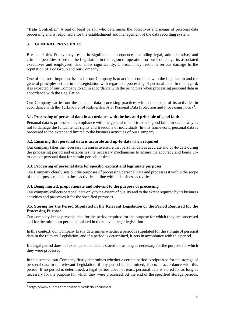"Data Controller" A real or legal person who determines the objectives and means of personal data processing and is responsible for the establishment and management of the data recording system.

## **3. GENERAL PRINCIPLES**

Breach of this Policy may result in significant consequences including legal, administrative, and criminal penalties based on the Legislation in the region of operation for our Company, its associated executives and employees and, most significantly, a breach may result in serious damage to the reputation of Koç Group and our Company.

One of the most important issues for our Company is to act in accordance with the Legislation and the general principles set out in the Legislation with regards to processing of personal data. In this regard, it is expected of our Company to act in accordance with the principles when processing personal data in accordance with the Legislation.

Our Company carries out the personal data processing practices within the scope of its activities in accordance with the Türkiye Petrol Rafinerileri A.Ş. Personal Data Protection and Processing Policy<sup>1</sup>.

## **3.1. Processing of personal data in accordance with the law and principle of good faith**

Personal data is processed in compliance with the general rule of trust and good faith, in such a way as not to damage the fundamental rights and freedoms of individuals. In this framework, personal data is processed to the extent and limited to the business activities of our Company.

## **3.2. Ensuring that personal data is accurate and up-to-date when required**

Our company takes the necessary measures to ensure that personal data is accurate and up-to-date during the processing period and establishes the necessary mechanisms to ensure the accuracy and being upto-date of personal data for certain periods of time.

#### **3.3. Processing of personal data for specific, explicit and legitimate purposes**

Our Company clearly sets out the purposes of processing personal data and processes it within the scope of the purposes related to these activities in line with its business activities.

#### **3.4. Being limited, proportionate and relevant to the purpose of processing**

Our company collects personal data only to the extent of quality and to the extent required by its business activities and processes it for the specified purposes.

#### **3.5. Storing for the Period Stipulated in the Relevant Legislation or the Period Required for the Processing Purpose**

Our company keeps personal data for the period required for the purpose for which they are processed and for the minimum period stipulated in the relevant legal legislation.

In this context, our Company firstly determines whether a period is stipulated for the storage of personal data in the relevant Legislation, and if a period is determined, it acts in accordance with this period.

If a legal period does not exist, personal data is stored for as long as necessary for the purpose for which they were processed.

In this context, our Company firstly determines whether a certain period is stipulated for the storage of personal data in the relevant Legislation, if any period is determined, it acts in accordance with this period. If no period is determined, a legal period does not exist, personal data is stored for as long as necessary for the purpose for which they were processed. At the end of the specified storage periods,

<sup>1</sup> https://www.tupras.com.tr/kisisel-verilerin-korunmasi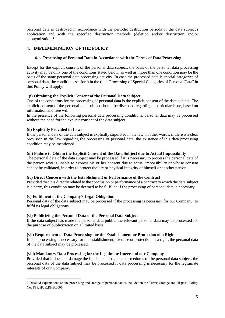personal data is destroyed in accordance with the periodic destruction periods or the data subject's application and with the specified destruction methods (deletion and/or destruction and/or anonymization.<sup>2</sup>

## **4. IMPLEMENTATION OF THE POLICY**

## **4.1. Processing of Personal Data in Accordance with the Terms of Data Processing**

Except for the explicit consent of the personal data subject, the basis of the personal data processing activity may be only one of the conditions stated below, as well as more than one condition may be the basis of the same personal data processing activity. In case the processed data is special categories of personal data, the conditions set forth in the title "Processing of Special Categories of Personal Data" in this Policy will apply.

## **(i) Obtaining the Explicit Consent of the Personal Data Subject**

One of the conditions for the processing of personal data is the explicit consent of the data subject. The explicit consent of the personal data subject should be disclosed regarding a particular issue, based on information and free will.

In the presence of the following personal data processing conditions, personal data may be processed without the need for the explicit consent of the data subject.

#### **(ii) Explicitly Provided in Laws**

If the personal data of the data subject is explicitly stipulated in the law, in other words, if there is a clear provision in the law regarding the processing of personal data, the existence of this data processing condition may be mentioned.

#### **(iii) Failure to Obtain the Explicit Consent of the Data Subject due to Actual Impossibility**

The personal data of the data subject may be processed if it is necessary to process the personal data of the person who is unable to express his or her consent due to actual impossibility or whose consent cannot be validated, in order to protect the life or physical integrity of himself or another person**.**

#### **(iv) Direct Concern with the Establishment or Performance of the Contract**

Provided that it is directly related to the conclusion or performance of a contract to which the data subject is a party, this condition may be deemed to be fulfilled if the processing of personal data is necessary.

## **(v) Fulfilment of the Company's Legal Obligation**

Personal data of the data subject may be processed if the processing is necessary for our Company to fulfil its legal obligations.

#### **(vi) Publicizing the Personal Data of the Personal Data Subject**

If the data subject has made his personal data public, the relevant personal data may be processed for the purpose of publicization on a limited basis.

#### **(vii) Requirement of Data Processing for the Establishment or Protection of a Right**

If data processing is necessary for the establishment, exercise or protection of a right, the personal data of the data subject may be processed.

#### **(viii) Mandatory Data Processing for the Legitimate Interest of our Company**

Provided that it does not damage the fundamental rights and freedoms of the personal data subject, the personal data of the data subject may be processed if data processing is necessary for the legitimate interests of our Company.

<sup>2</sup> Detailed explanations on the processing and storage of personal data is included in the Tüpraş Storage and Disposal Policy No. TPR.HUK.RHB.0006.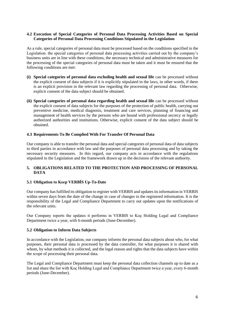#### **4.2 Execution of Special Categories of Personal Data Processing Activities Based on Special Categories of Personal Data Processing Conditions Stipulated in the Legislation**

As a rule, special categories of personal data must be processed based on the conditions specified in the Legislation. the special categories of personal data processing activities carried out by the company's business units are in line with these conditions, the necessary technical and administrative measures for the processing of the special categories of personal data must be taken and it must be ensured that the following conditions are met:

- **(i) Special categories of personal data excluding health and sexual life** can be processed without the explicit consent of data subjects if it is explicitly stipulated in the laws, in other words, if there is an explicit provision in the relevant law regarding the processing of personal data. Otherwise, explicit consent of the data subject should be obtained.
- **(ii) Special categories of personal data regarding health and sexual life** can be processed without the explicit consent of data subjects for the purposes of the protection of public health, carrying out preventive medicine, medical diagnosis, treatment and care services, planning of financing and management of health services by the persons who are bound with professional secrecy or legally authorized authorities and institutions. Otherwise, explicit consent of the data subject should be obtained.

#### **4.3 Requirements To Be Complied With For Transfer Of Personal Data**

Our company is able to transfer the personal data and special categories of personal data of data subjects to third parties in accordance with law and the purposes of personal data processing and by taking the necessary security measures. In this regard, our company acts in accordance with the regulations stipulated in the Legislation and the framework drawn up in the decisions of the relevant authority.

#### **5. OBLIGATIONS RELATED TO THE PROTECTION AND PROCESSING OF PERSONAL DATA**

## **5.1 Obligation to Keep VERBİS Up-To-Date**

Our company has fulfilled its obligation to register with VERBIS and updates its information in VERBIS within seven days from the date of the change in case of changes in the registered information. It is the responsibility of the Legal and Compliance Department to carry out updates upon the notifications of the relevant units.

Our Company reports the updates it performs in VERBIS to Koç Holding Legal and Compliance Department twice a year, with 6-month periods (June-December).

#### **5.2 Obligation to Inform Data Subjects**

In accordance with the Legislation, our company informs the personal data subjects about who, for what purposes, their personal data is processed by the data controller, for what purposes it is shared with whom, by what methods it is collected, and the legal reason and rights that the data subjects have within the scope of processing their personal data.

The Legal and Compliance Department must keep the personal data collection channels up to date as a list and share the list with Koç Holding Legal and Compliance Department twice a year, every 6-month periods (June-December).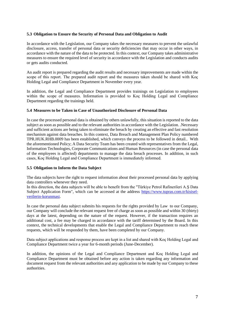#### **5.3 Obligation to Ensure the Security of Personal Data and Obligation to Audit**

In accordance with the Legislation, our Company takes the necessary measures to prevent the unlawful disclosure, access, transfer of personal data or security deficiencies that may occur in other ways, in accordance with the nature of the data to be protected. In this context, our Company takes administrative measures to ensure the required level of security in accordance with the Legislation and conducts audits or gets audits conducted.

An audit report is prepared regarding the audit results and necessary improvements are made within the scope of this report. The prepared audit report and the measures taken should be shared with Koç Holding Legal and Compliance Department in November every year.

In addition, the Legal and Compliance Department provides trainings on Legislation to employees within the scope of measures. Information is provided to Koç Holding Legal and Compliance Department regarding the trainings held.

#### **5.4 Measures to be Taken in Case of Unauthorized Disclosure of Personal Data**

In case the processed personal data is obtained by others unlawfully, this situation is reported to the data subject as soon as possible and to the relevant authorities in accordance with the Legislation. .Necessary and sufficient actions are being taken to eliminate the breach by creating an effective and fast resolution mechanism against data breaches. In this context, Data Breach and Management Plan Policy numbered TPR.HUK.RHB.0009 has been established, which conveys the process to be followed in detail.. With the aforementioned Policy; A Data Security Team has been created with representatives from the Legal, Information Technologies, Corporate Communications and Human Resources (in case the personal data of the employees is affected) departments to manage the data breach processes. In addition, in such cases, Koç Holding Legal and Compliance Department is immediately informed.

#### **5.5 Obligation to Inform the Data Subject**

The data subjects have the right to request information about their processed personal data by applying data controllers whenever they need.

In this direction, the data subjects will be able to benefit from the "Türkiye Petrol Rafinerileri A.Ş Data Subject Application Form", which can be accessed at the address [https://www.tupras.com.tr/kisisel](https://www.tupras.com.tr/kisisel-verilerin-korunmasi)[verilerin-korunmasi.](https://www.tupras.com.tr/kisisel-verilerin-korunmasi)

In case the personal data subject submits his requests for the rights provided by Law to our Company, our Company will conclude the relevant request free of charge as soon as possible and within 30 (thirty) days at the latest, depending on the nature of the request. However, if the transaction requires an additional cost, a fee may be charged in accordance with the tariff determined by the Board. In this context, the technical developments that enable the Legal and Compliance Department to reach these requests, which will be responded by them, have been completed by our Company.

Data subject applications and response process are kept in a list and shared with Koç Holding Legal and Compliance Department twice a year for 6-month periods (June-December).

In addition, the opinions of the Legal and Compliance Department and Koç Holding Legal and Compliance Department must be obtained before any action is taken regarding any information and document request from the relevant authorities and any application to be made by our Company to these authorities.